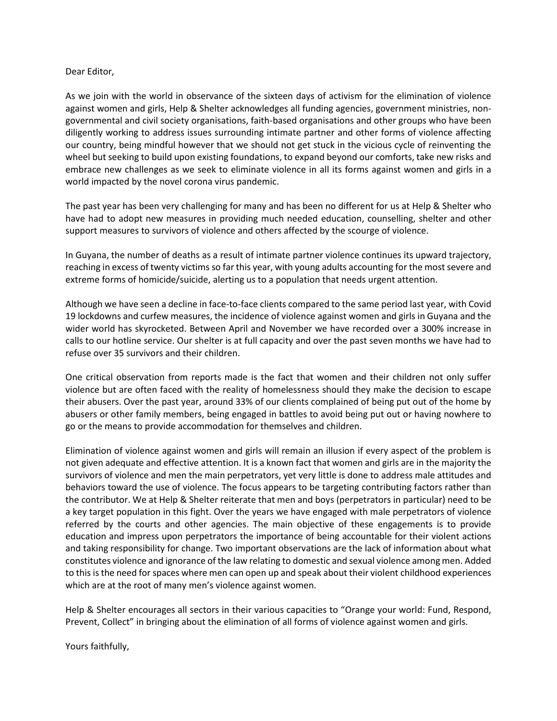## Dear Editor,

As we join with the world in observance of the sixteen days of activism for the elimination of violence against women and girls, Help & Shelter acknowledges all funding agencies, government ministries, nongovernmental and civil society organisations, faith-based organisations and other groups who have been diligently working to address issues surrounding intimate partner and other forms of violence affecting our country, being mindful however that we should not get stuck in the vicious cycle of reinventing the wheel but seeking to build upon existing foundations, to expand beyond our comforts, take new risks and embrace new challenges as we seek to eliminate violence in all its forms against women and girls in a world impacted by the novel corona virus pandemic.

The past year has been very challenging for many and has been no different for us at Help & Shelter who have had to adopt new measures in providing much needed education, counselling, shelter and other support measures to survivors of violence and others affected by the scourge of violence.

In Guyana, the number of deaths as a result of intimate partner violence continues its upward trajectory, reaching in excess of twenty victims so far this year, with young adults accounting for the most severe and extreme forms of homicide/suicide, alerting us to a population that needs urgent attention.

Although we have seen a decline in face-to-face clients compared to the same period last year, with Covid 19 lockdowns and curfew measures, the incidence of violence against women and girls in Guyana and the wider world has skyrocketed. Between April and November we have recorded over a 300% increase in calls to our hotline service. Our shelter is at full capacity and over the past seven months we have had to refuse over 35 survivors and their children.

One critical observation from reports made is the fact that women and their children not only suffer violence but are often faced with the reality of homelessness should they make the decision to escape their abusers. Over the past year, around 33% of our clients complained of being put out of the home by abusers or other family members, being engaged in battles to avoid being put out or having nowhere to go or the means to provide accommodation for themselves and children.

Elimination of violence against women and girls will remain an illusion if every aspect of the problem is not given adequate and effective attention. It is a known fact that women and girls are in the majority the survivors of violence and men the main perpetrators, yet very little is done to address male attitudes and behaviors toward the use of violence. The focus appears to be targeting contributing factors rather than the contributor. We at Help & Shelter reiterate that men and boys (perpetrators in particular) need to be a key target population in this fight. Over the years we have engaged with male perpetrators of violence referred by the courts and other agencies. The main objective of these engagements is to provide education and impress upon perpetrators the importance of being accountable for their violent actions and taking responsibility for change. Two important observations are the lack of information about what constitutes violence and ignorance of the law relating to domestic and sexual violence among men. Added to this is the need for spaces where men can open up and speak about their violent childhood experiences which are at the root of many men's violence against women.

Help & Shelter encourages all sectors in their various capacities to "Orange your world: Fund, Respond, Prevent, Collect" in bringing about the elimination of all forms of violence against women and girls.

Yours faithfully,